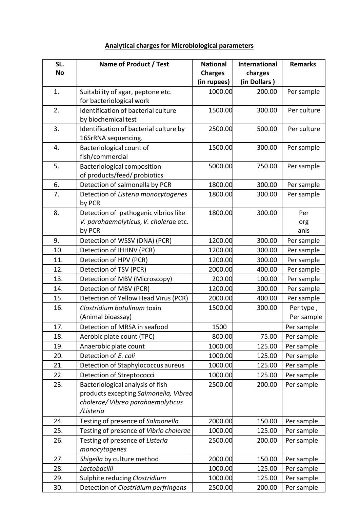## **Analytical charges for Microbiological parameters**

| SL.       | Name of Product / Test                        | <b>National</b> | <b>International</b> | <b>Remarks</b> |
|-----------|-----------------------------------------------|-----------------|----------------------|----------------|
| <b>No</b> |                                               | <b>Charges</b>  | charges              |                |
|           |                                               | (in rupees)     | (in Dollars)         |                |
| 1.        | Suitability of agar, peptone etc.             | 1000.00         | 200.00               | Per sample     |
|           | for bacteriological work                      |                 |                      |                |
| 2.        | Identification of bacterial culture           | 1500.00         | 300.00               | Per culture    |
|           | by biochemical test                           |                 |                      |                |
| 3.        | Identification of bacterial culture by        | 2500.00         | 500.00               | Per culture    |
|           | 16SrRNA sequencing.                           |                 |                      |                |
| 4.        | Bacteriological count of                      | 1500.00         | 300.00               | Per sample     |
|           | fish/commercial                               |                 |                      |                |
| 5.        | <b>Bacteriological composition</b>            | 5000.00         | 750.00               | Per sample     |
|           | of products/feed/ probiotics                  |                 |                      |                |
| 6.        | Detection of salmonella by PCR                | 1800.00         | 300.00               | Per sample     |
| 7.        | Detection of Listeria monocytogenes<br>by PCR | 1800.00         | 300.00               | Per sample     |
| 8.        | Detection of pathogenic vibrios like          | 1800.00         | 300.00               | Per            |
|           | V. parahaemolyticus, V. cholerae etc.         |                 |                      | org            |
|           | by PCR                                        |                 |                      | anis           |
| 9.        | Detection of WSSV (DNA) (PCR)                 | 1200.00         | 300.00               | Per sample     |
| 10.       | Detection of IHHNV (PCR)                      | 1200.00         | 300.00               | Per sample     |
| 11.       | Detection of HPV (PCR)                        | 1200.00         | 300.00               | Per sample     |
| 12.       | Detection of TSV (PCR)                        | 2000.00         | 400.00               | Per sample     |
| 13.       | Detection of MBV (Microscopy)                 | 200.00          | 100.00               | Per sample     |
| 14.       | Detection of MBV (PCR)                        | 1200.00         | 300.00               | Per sample     |
| 15.       | Detection of Yellow Head Virus (PCR)          | 2000.00         | 400.00               | Per sample     |
| 16.       | Clostridium botulinum toxin                   | 1500.00         | 300.00               | Per type,      |
|           | (Animal bioassay)                             |                 |                      | Per sample     |
| 17.       | Detection of MRSA in seafood                  | 1500            |                      | Per sample     |
| 18.       | Aerobic plate count (TPC)                     | 800.00          | 75.00                | Per sample     |
| 19.       | Anaerobic plate count                         | 1000.00         | 125.00               | Per sample     |
| 20.       | Detection of E. coli                          | 1000.00         | 125.00               | Per sample     |
| 21.       | Detection of Staphylococcus aureus            | 1000.00         | 125.00               | Per sample     |
| 22.       | Detection of Streptococci                     | 1000.00         | 125.00               | Per sample     |
| 23.       | Bacteriological analysis of fish              | 2500.00         | 200.00               | Per sample     |
|           | products excepting Salmonella, Vibred         |                 |                      |                |
|           | cholerae/ Vibreo parahaemolyticus             |                 |                      |                |
|           | /Listeria                                     |                 |                      |                |
| 24.       | Testing of presence of Salmonella             | 2000.00         | 150.00               | Per sample     |
| 25.       | Testing of presence of Vibrio cholerae        | 1000.00         | 125.00               | Per sample     |
| 26.       | Testing of presence of Listeria               | 2500.00         | 200.00               | Per sample     |
|           | monocytogenes                                 |                 |                      |                |
| 27.       | Shigella by culture method                    | 2000.00         | 150.00               | Per sample     |
| 28.       | Lactobacilli                                  | 1000.00         | 125.00               | Per sample     |
| 29.       | Sulphite reducing Clostridium                 | 1000.00         | 125.00               | Per sample     |
| 30.       | Detection of Clostridium perfringens          | 2500.00         | 200.00               | Per sample     |